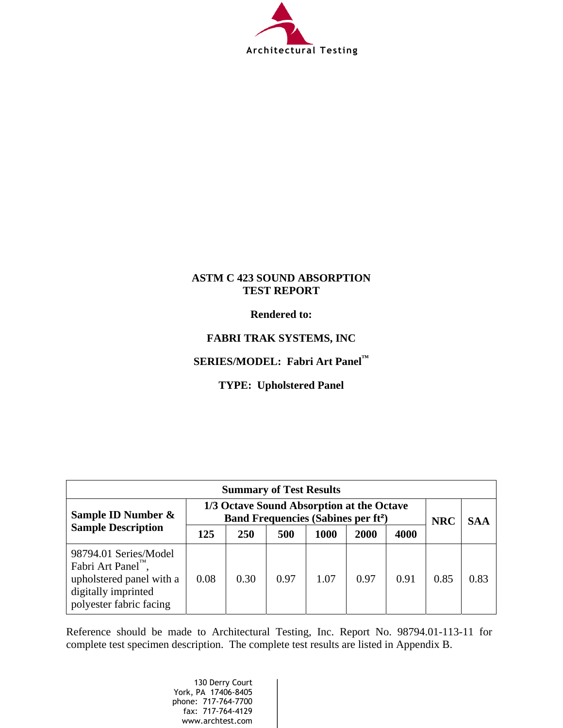

### **ASTM C 423 SOUND ABSORPTION TEST REPORT**

**Rendered to:** 

### **FABRI TRAK SYSTEMS, INC**

### **SERIES/MODEL: Fabri Art Panel™**

### **TYPE: Upholstered Panel**

| <b>Summary of Test Results</b>                                                                                                         |                                                                                                   |      |      |      |      |            |            |      |
|----------------------------------------------------------------------------------------------------------------------------------------|---------------------------------------------------------------------------------------------------|------|------|------|------|------------|------------|------|
| Sample ID Number &<br><b>Sample Description</b>                                                                                        | 1/3 Octave Sound Absorption at the Octave<br><b>Band Frequencies (Sabines per ft<sup>2</sup>)</b> |      |      |      |      | <b>NRC</b> | <b>SAA</b> |      |
|                                                                                                                                        | 125                                                                                               | 250  | 500  | 1000 | 2000 | 4000       |            |      |
| 98794.01 Series/Model<br>Fabri Art Panel <sup>TM</sup> ,<br>upholstered panel with a<br>digitally imprinted<br>polyester fabric facing | 0.08                                                                                              | 0.30 | 0.97 | 1.07 | 0.97 | 0.91       | 0.85       | 0.83 |

Reference should be made to Architectural Testing, Inc. Report No. 98794.01-113-11 for complete test specimen description. The complete test results are listed in Appendix B.

> 130 Derry Court York, PA 17406-8405 phone: 717-764-7700 fax: 717-764-4129 www.archtest.com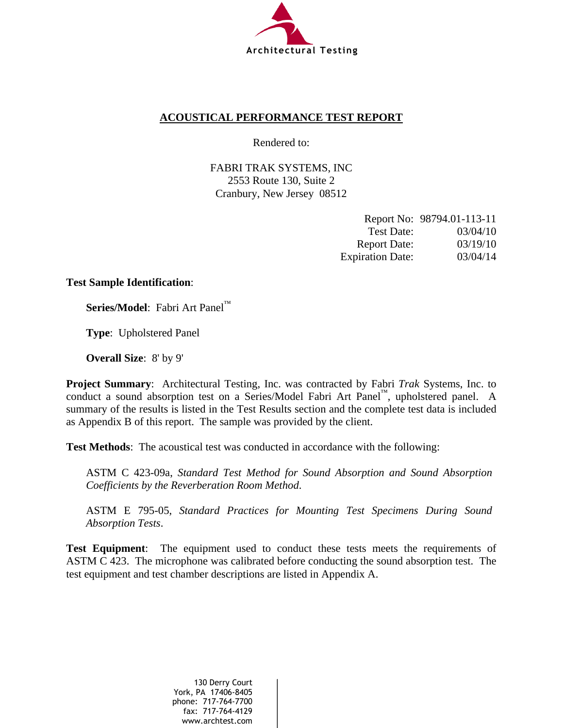

### **ACOUSTICAL PERFORMANCE TEST REPORT**

Rendered to:

FABRI TRAK SYSTEMS, INC 2553 Route 130, Suite 2 Cranbury, New Jersey 08512

|                         | Report No: 98794.01-113-11 |
|-------------------------|----------------------------|
| Test Date:              | 03/04/10                   |
| <b>Report Date:</b>     | 03/19/10                   |
| <b>Expiration Date:</b> | 03/04/14                   |

### **Test Sample Identification**:

**Series/Model**:Fabri Art Panel™

**Type**:Upholstered Panel

**Overall Size**:8' by 9'

**Project Summary**: Architectural Testing, Inc. was contracted by Fabri *Trak* Systems, Inc. to conduct a sound absorption test on a Series/Model Fabri Art Panel™, upholstered panel. A summary of the results is listed in the Test Results section and the complete test data is included as Appendix B of this report. The sample was provided by the client.

**Test Methods**: The acoustical test was conducted in accordance with the following:

ASTM C 423-09a, *Standard Test Method for Sound Absorption and Sound Absorption Coefficients by the Reverberation Room Method*.

ASTM E 795-05, *Standard Practices for Mounting Test Specimens During Sound Absorption Tests*.

**Test Equipment**: The equipment used to conduct these tests meets the requirements of ASTM C 423. The microphone was calibrated before conducting the sound absorption test. The test equipment and test chamber descriptions are listed in Appendix A.

> 130 Derry Court York, PA 17406-8405 phone: 717-764-7700 fax: 717-764-4129 www.archtest.com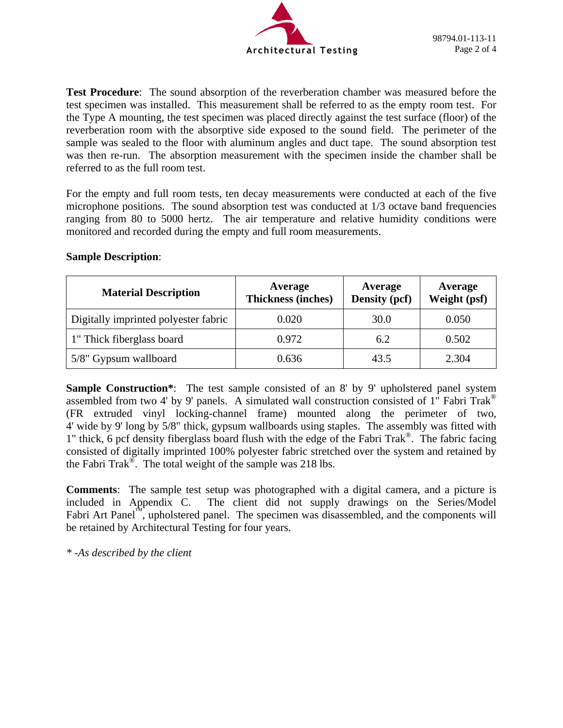

**Test Procedure**: The sound absorption of the reverberation chamber was measured before the test specimen was installed. This measurement shall be referred to as the empty room test. For the Type A mounting, the test specimen was placed directly against the test surface (floor) of the reverberation room with the absorptive side exposed to the sound field. The perimeter of the sample was sealed to the floor with aluminum angles and duct tape. The sound absorption test was then re-run. The absorption measurement with the specimen inside the chamber shall be referred to as the full room test.

For the empty and full room tests, ten decay measurements were conducted at each of the five microphone positions. The sound absorption test was conducted at 1/3 octave band frequencies ranging from 80 to 5000 hertz. The air temperature and relative humidity conditions were monitored and recorded during the empty and full room measurements.

| <b>Material Description</b>          | Average<br><b>Thickness (inches)</b> | Average<br>Density (pcf) | Average<br>Weight (psf) |
|--------------------------------------|--------------------------------------|--------------------------|-------------------------|
| Digitally imprinted polyester fabric | 0.020                                | 30.0                     | 0.050                   |
| 1" Thick fiberglass board            | 0.972                                | 6.2                      | 0.502                   |
| 5/8" Gypsum wallboard                | 0.636                                | 43.5                     | 2.304                   |

### **Sample Description**:

**Sample Construction\*:** The test sample consisted of an 8' by 9' upholstered panel system assembled from two 4' by 9' panels. A simulated wall construction consisted of 1" Fabri Trak® (FR extruded vinyl locking-channel frame) mounted along the perimeter of two, 4' wide by 9' long by 5/8" thick, gypsum wallboards using staples. The assembly was fitted with 1" thick, 6 pcf density fiberglass board flush with the edge of the Fabri Trak®. The fabric facing consisted of digitally imprinted 100% polyester fabric stretched over the system and retained by the Fabri Trak®. The total weight of the sample was 218 lbs.

**Comments**: The sample test setup was photographed with a digital camera, and a picture is included in Appendix C. The client did not supply drawings on the Series/Model Fabri Art Panel™, upholstered panel. The specimen was disassembled, and the components will be retained by Architectural Testing for four years.

*\* -As described by the client*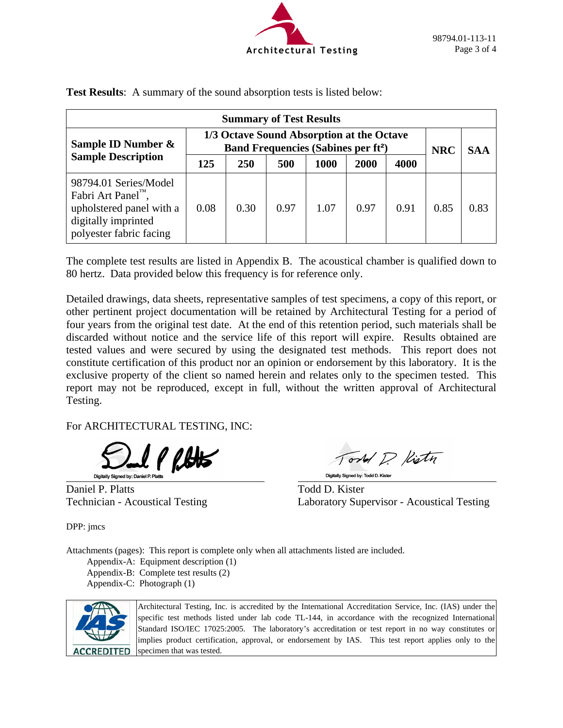

| <b>Summary of Test Results</b>                                                                                                         |                                                                                                   |            |      |      |      |      |            |            |
|----------------------------------------------------------------------------------------------------------------------------------------|---------------------------------------------------------------------------------------------------|------------|------|------|------|------|------------|------------|
| Sample ID Number &<br><b>Sample Description</b>                                                                                        | 1/3 Octave Sound Absorption at the Octave<br><b>Band Frequencies (Sabines per ft<sup>2</sup>)</b> |            |      |      |      |      | <b>NRC</b> | <b>SAA</b> |
|                                                                                                                                        | 125                                                                                               | <b>250</b> | 500  | 1000 | 2000 | 4000 |            |            |
| 98794.01 Series/Model<br>Fabri Art Panel <sup>TM</sup> ,<br>upholstered panel with a<br>digitally imprinted<br>polyester fabric facing | 0.08                                                                                              | 0.30       | 0.97 | 1.07 | 0.97 | 0.91 | 0.85       | 0.83       |

**Test Results**: A summary of the sound absorption tests is listed below:

The complete test results are listed in Appendix B. The acoustical chamber is qualified down to 80 hertz. Data provided below this frequency is for reference only.

Detailed drawings, data sheets, representative samples of test specimens, a copy of this report, or other pertinent project documentation will be retained by Architectural Testing for a period of four years from the original test date. At the end of this retention period, such materials shall be discarded without notice and the service life of this report will expire. Results obtained are tested values and were secured by using the designated test methods. This report does not constitute certification of this product nor an opinion or endorsement by this laboratory. It is the exclusive property of the client so named herein and relates only to the specimen tested. This report may not be reproduced, except in full, without the written approval of Architectural Testing.

For ARCHITECTURAL TESTING, INC:

al PRHs Digitally Signed by: Daniel P. P.

Daniel P. Platts Todd D. Kister

ond D Kisty Digitally Signed by: Todd D. Kister

Technician - Acoustical Testing Laboratory Supervisor - Acoustical Testing

DPP: jmcs

Attachments (pages): This report is complete only when all attachments listed are included.

Appendix-A: Equipment description (1) Appendix-B: Complete test results (2) Appendix-C: Photograph (1)



Architectural Testing, Inc. is accredited by the International Accreditation Service, Inc. (IAS) under the specific test methods listed under lab code TL-144, in accordance with the recognized International Standard ISO/IEC 17025:2005. The laboratory's accreditation or test report in no way constitutes or implies product certification, approval, or endorsement by IAS. This test report applies only to the specimen that was tested.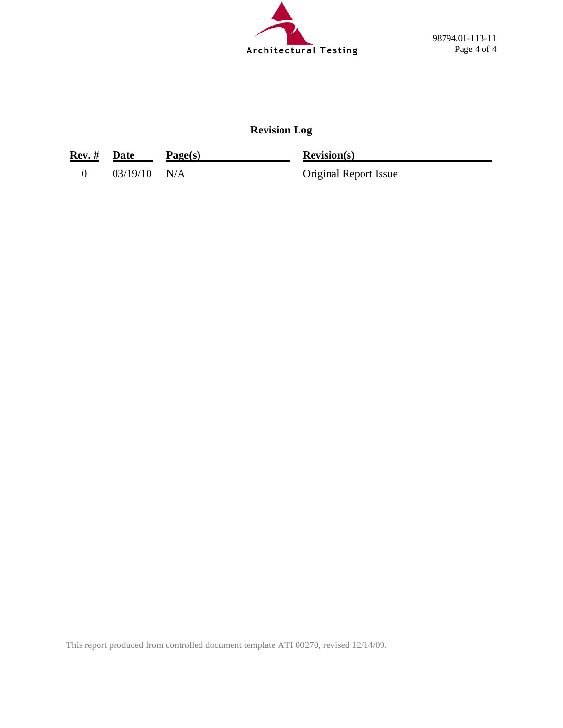

### **Revision Log**

| Rev. # Date |                | Page(s) | Revision(s)                  |
|-------------|----------------|---------|------------------------------|
|             | $03/19/10$ N/A |         | <b>Original Report Issue</b> |

This report produced from controlled document template ATI 00270, revised 12/14/09.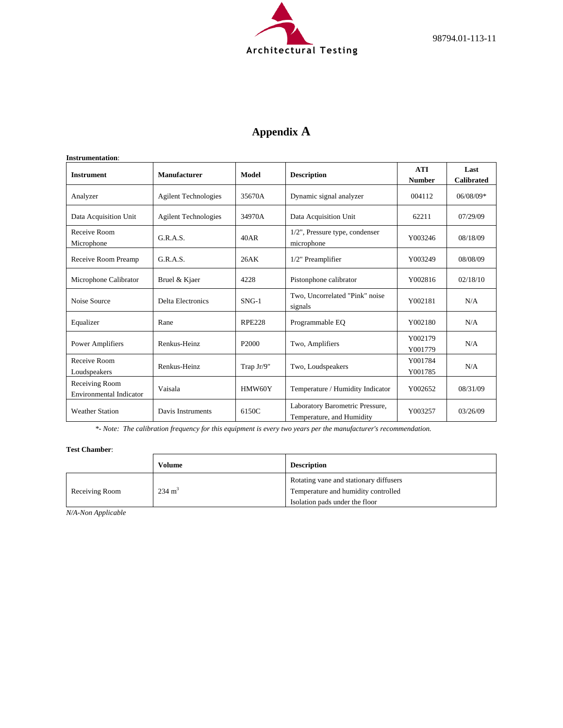

# **Appendix A**

| <b>Instrument</b>                         | Manufacturer                | Model             | <b>Description</b>                                           | <b>ATI</b><br><b>Number</b> | Last<br><b>Calibrated</b> |
|-------------------------------------------|-----------------------------|-------------------|--------------------------------------------------------------|-----------------------------|---------------------------|
| Analyzer                                  | <b>Agilent Technologies</b> | 35670A            | Dynamic signal analyzer                                      | 004112                      | 06/08/09*                 |
| Data Acquisition Unit                     | <b>Agilent Technologies</b> | 34970A            | Data Acquisition Unit                                        | 62211                       | 07/29/09                  |
| Receive Room<br>Microphone                | G.R.A.S.                    | 40AR              | $1/2$ ", Pressure type, condenser<br>microphone              | Y003246                     | 08/18/09                  |
| Receive Room Preamp                       | G.R.A.S.                    | 26AK              | 1/2" Preamplifier                                            | Y003249                     | 08/08/09                  |
| Microphone Calibrator                     | Bruel & Kjaer               | 4228              | Pistonphone calibrator                                       | Y002816                     | 02/18/10                  |
| Noise Source                              | <b>Delta Electronics</b>    | $SNG-1$           | Two, Uncorrelated "Pink" noise<br>signals                    | Y002181                     | N/A                       |
| Equalizer                                 | Rane                        | <b>RPE228</b>     | Programmable EO                                              | Y002180                     | N/A                       |
| <b>Power Amplifiers</b>                   | Renkus-Heinz                | P <sub>2000</sub> | Two, Amplifiers                                              | Y002179<br>Y001779          | N/A                       |
| Receive Room<br>Loudspeakers              | Renkus-Heinz                | Trap Jr/9"        | Two, Loudspeakers                                            | Y001784<br>Y001785          | N/A                       |
| Receiving Room<br>Environmental Indicator | Vaisala                     | HMW60Y            | Temperature / Humidity Indicator                             | Y002652                     | 08/31/09                  |
| <b>Weather Station</b>                    | Davis Instruments           | 6150C             | Laboratory Barometric Pressure,<br>Temperature, and Humidity | Y003257                     | 03/26/09                  |

*\*- Note: The calibration frequency for this equipment is every two years per the manufacturer's recommendation.*

#### **Test Chamber**:

|                | Volume            | <b>Description</b>                                                            |
|----------------|-------------------|-------------------------------------------------------------------------------|
| Receiving Room | $234 \text{ m}^3$ | Rotating vane and stationary diffusers<br>Temperature and humidity controlled |
|                |                   | Isolation pads under the floor                                                |

*N/A-Non Applicable*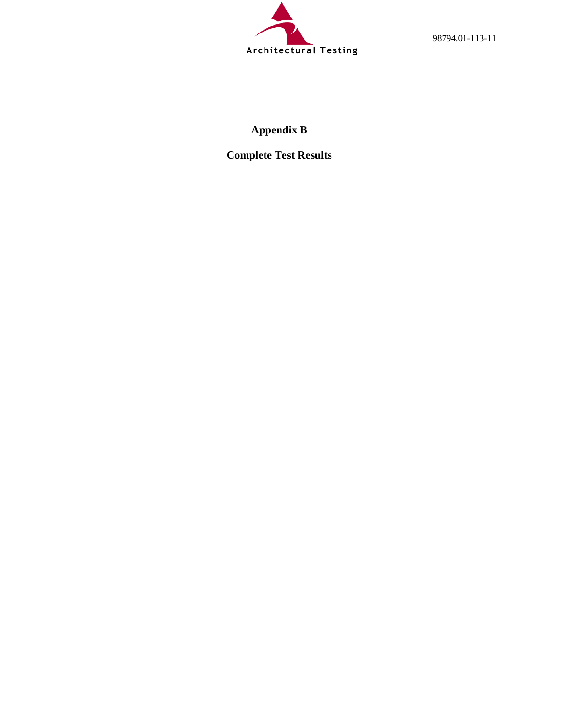

98794.01-113-11

# **Appendix B**

**Complete Test Results**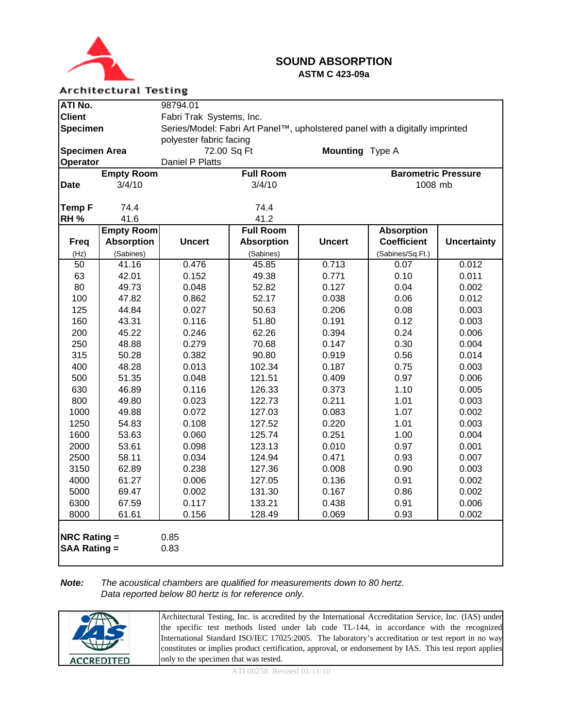

### **SOUND ABSORPTION ASTM C 423-09a**

#### **Architectural Testing**

| ATI No.                                                       |                   | 98794.01                                                                     |                   |               |                            |                    |
|---------------------------------------------------------------|-------------------|------------------------------------------------------------------------------|-------------------|---------------|----------------------------|--------------------|
| <b>Client</b>                                                 |                   | Fabri Trak Systems, Inc.                                                     |                   |               |                            |                    |
| <b>Specimen</b>                                               |                   | Series/Model: Fabri Art Panel™, upholstered panel with a digitally imprinted |                   |               |                            |                    |
| polyester fabric facing                                       |                   |                                                                              |                   |               |                            |                    |
| <b>Mounting</b> Type A<br><b>Specimen Area</b><br>72.00 Sq Ft |                   |                                                                              |                   |               |                            |                    |
| Operator                                                      | Daniel P Platts   |                                                                              |                   |               |                            |                    |
|                                                               | <b>Empty Room</b> |                                                                              | <b>Full Room</b>  |               | <b>Barometric Pressure</b> |                    |
| <b>Date</b>                                                   | 3/4/10            |                                                                              | 3/4/10            |               | 1008 mb                    |                    |
|                                                               |                   |                                                                              |                   |               |                            |                    |
| <b>Temp F</b>                                                 | 74.4              |                                                                              | 74.4              |               |                            |                    |
| RH <sub>%</sub>                                               | 41.6              |                                                                              | 41.2              |               |                            |                    |
|                                                               | <b>Empty Room</b> |                                                                              | <b>Full Room</b>  |               | <b>Absorption</b>          |                    |
| <b>Freq</b>                                                   | <b>Absorption</b> | <b>Uncert</b>                                                                | <b>Absorption</b> | <b>Uncert</b> | <b>Coefficient</b>         | <b>Uncertainty</b> |
| (Hz)                                                          | (Sabines)         |                                                                              | (Sabines)         |               | (Sabines/Sq.Ft.)           |                    |
| $\overline{50}$                                               | 41.16             | 0.476                                                                        | 45.85             | 0.713         | 0.07                       | 0.012              |
| 63                                                            | 42.01             | 0.152                                                                        | 49.38             | 0.771         | 0.10                       | 0.011              |
| 80                                                            | 49.73             | 0.048                                                                        | 52.82             | 0.127         | 0.04                       | 0.002              |
| 100                                                           | 47.82             | 0.862                                                                        | 52.17             | 0.038         | 0.06                       | 0.012              |
| 125                                                           | 44.84             | 0.027                                                                        | 50.63             | 0.206         | 0.08                       | 0.003              |
| 160                                                           | 43.31             | 0.116                                                                        | 51.80             | 0.191         | 0.12                       | 0.003              |
| 200                                                           | 45.22             | 0.246                                                                        | 62.26             | 0.394         | 0.24                       | 0.006              |
| 250                                                           | 48.88             | 0.279                                                                        | 70.68             | 0.147         | 0.30                       | 0.004              |
| 315                                                           | 50.28             | 0.382                                                                        | 90.80             | 0.919         | 0.56                       | 0.014              |
| 400                                                           | 48.28             | 0.013                                                                        | 102.34            | 0.187         | 0.75                       | 0.003              |
| 500                                                           | 51.35             | 0.048                                                                        | 121.51            | 0.409         | 0.97                       | 0.006              |
| 630                                                           | 46.89             | 0.116                                                                        | 126.33            | 0.373         | 1.10                       | 0.005              |
| 800                                                           | 49.80             | 0.023                                                                        | 122.73            | 0.211         | 1.01                       | 0.003              |
| 1000                                                          | 49.88             | 0.072                                                                        | 127.03            | 0.083         | 1.07                       | 0.002              |
| 1250                                                          | 54.83             | 0.108                                                                        | 127.52            | 0.220         | 1.01                       | 0.003              |
| 1600                                                          | 53.63             | 0.060                                                                        | 125.74            | 0.251         | 1.00                       | 0.004              |
| 2000                                                          | 53.61             | 0.098                                                                        | 123.13            | 0.010         | 0.97                       | 0.001              |
| 2500                                                          | 58.11             | 0.034                                                                        | 124.94            | 0.471         | 0.93                       | 0.007              |
| 3150                                                          | 62.89             | 0.238                                                                        | 127.36            | 0.008         | 0.90                       | 0.003              |
| 4000                                                          | 61.27             | 0.006                                                                        | 127.05            | 0.136         | 0.91                       | 0.002              |
| 5000                                                          | 69.47             | 0.002                                                                        | 131.30            | 0.167         | 0.86                       | 0.002              |
| 6300                                                          | 67.59             | 0.117                                                                        | 133.21            | 0.438         | 0.91                       | 0.006              |
| 8000                                                          | 61.61             | 0.156                                                                        | 128.49            | 0.069         | 0.93                       | 0.002              |
| <b>NRC Rating <math>=</math></b><br><b>SAA Rating =</b>       |                   | 0.85<br>0.83                                                                 |                   |               |                            |                    |

#### *Note: The acoustical chambers are qualified for measurements down to 80 hertz. Data reported below 80 hertz is for reference only.*

|                   | Architectural Testing, Inc. is accredited by the International Accreditation Service, Inc. (IAS) under<br>the specific test methods listed under lab code TL-144, in accordance with the recognized           |
|-------------------|---------------------------------------------------------------------------------------------------------------------------------------------------------------------------------------------------------------|
|                   | International Standard ISO/IEC 17025:2005. The laboratory's accreditation or test report in no way<br>constitutes or implies product certification, approval, or endorsement by IAS. This test report applies |
| <b>ACCREDITED</b> | only to the specimen that was tested.                                                                                                                                                                         |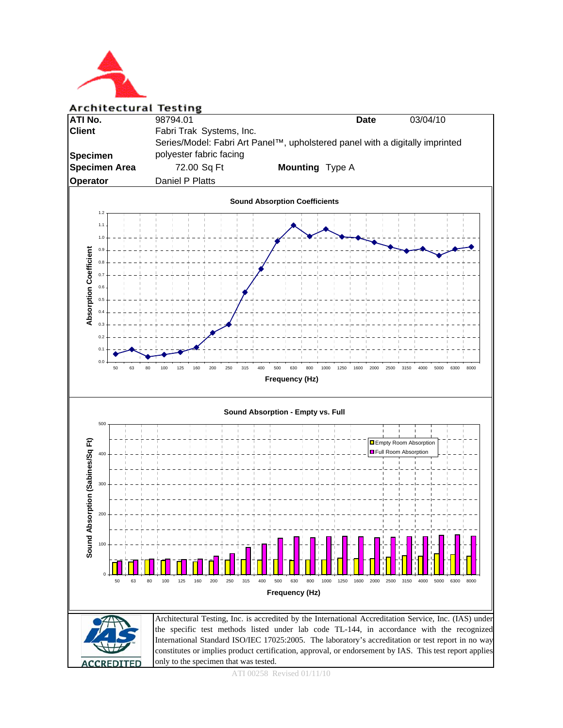

**Architectural Testing** 



ATI 00258 Revised 01/11/10